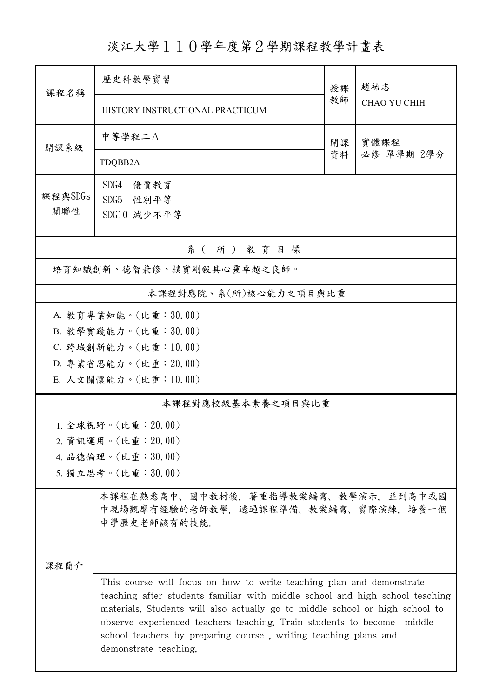淡江大學110學年度第2學期課程教學計畫表

| 課程名稱                      | 歷史科教學實習                                                                                                                                                                                                                                                                                                                                                                                                       | 授課         | 趙祐志<br><b>CHAO YU CHIH</b> |  |  |  |
|---------------------------|---------------------------------------------------------------------------------------------------------------------------------------------------------------------------------------------------------------------------------------------------------------------------------------------------------------------------------------------------------------------------------------------------------------|------------|----------------------------|--|--|--|
|                           | HISTORY INSTRUCTIONAL PRACTICUM                                                                                                                                                                                                                                                                                                                                                                               | 教師         |                            |  |  |  |
| 開課系級                      | 中等學程二A                                                                                                                                                                                                                                                                                                                                                                                                        | 實體課程<br>開課 |                            |  |  |  |
|                           | TDQBB2A                                                                                                                                                                                                                                                                                                                                                                                                       | 資料         | 必修 單學期 2學分                 |  |  |  |
| 課程與SDGs                   | SDG4<br>優質教育<br>SDG5 性別平等                                                                                                                                                                                                                                                                                                                                                                                     |            |                            |  |  |  |
| 關聯性                       | SDG10 減少不平等                                                                                                                                                                                                                                                                                                                                                                                                   |            |                            |  |  |  |
| 系(所)教育目標                  |                                                                                                                                                                                                                                                                                                                                                                                                               |            |                            |  |  |  |
| 培育知識創新、德智兼修、樸實剛毅具心靈卓越之良師。 |                                                                                                                                                                                                                                                                                                                                                                                                               |            |                            |  |  |  |
| 本課程對應院、系(所)核心能力之項目與比重     |                                                                                                                                                                                                                                                                                                                                                                                                               |            |                            |  |  |  |
| A. 教育專業知能。(比重:30.00)      |                                                                                                                                                                                                                                                                                                                                                                                                               |            |                            |  |  |  |
|                           | B. 教學實踐能力。(比重:30.00)                                                                                                                                                                                                                                                                                                                                                                                          |            |                            |  |  |  |
|                           | C. 跨域創新能力。(比重:10.00)                                                                                                                                                                                                                                                                                                                                                                                          |            |                            |  |  |  |
|                           | D. 專業省思能力。(比重: 20.00)                                                                                                                                                                                                                                                                                                                                                                                         |            |                            |  |  |  |
|                           | E. 人文關懷能力。(比重:10.00)                                                                                                                                                                                                                                                                                                                                                                                          |            |                            |  |  |  |
|                           | 本課程對應校級基本素養之項目與比重                                                                                                                                                                                                                                                                                                                                                                                             |            |                            |  |  |  |
|                           | 1. 全球視野。(比重: 20.00)                                                                                                                                                                                                                                                                                                                                                                                           |            |                            |  |  |  |
|                           | 2. 資訊運用。(比重: 20.00)                                                                                                                                                                                                                                                                                                                                                                                           |            |                            |  |  |  |
| 4. 品德倫理。(比重:30.00)        |                                                                                                                                                                                                                                                                                                                                                                                                               |            |                            |  |  |  |
| 5. 獨立思考。(比重:30.00)        |                                                                                                                                                                                                                                                                                                                                                                                                               |            |                            |  |  |  |
|                           | 本課程在熟悉高中、國中教材後,著重指導教案編寫、教學演示,並到高中或國<br>中現場觀摩有經驗的老師教學,透過課程準備、教案編寫、實際演練,培養一個<br>中學歷史老師該有的技能。                                                                                                                                                                                                                                                                                                                    |            |                            |  |  |  |
| 课程简介                      |                                                                                                                                                                                                                                                                                                                                                                                                               |            |                            |  |  |  |
|                           | This course will focus on how to write teaching plan and demonstrate<br>teaching after students familiar with middle school and high school teaching<br>materials. Students will also actually go to middle school or high school to<br>observe experienced teachers teaching. Train students to become<br>middle<br>school teachers by preparing course, writing teaching plans and<br>demonstrate teaching. |            |                            |  |  |  |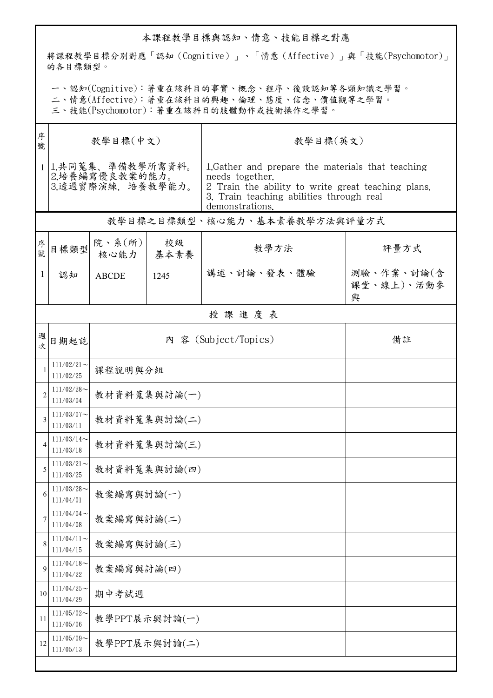## 本課程教學目標與認知、情意、技能目標之對應

將課程教學目標分別對應「認知(Cognitive)」、「情意(Affective)」與「技能(Psychomotor)」 的各目標類型。

一、認知(Cognitive):著重在該科目的事實、概念、程序、後設認知等各類知識之學習。

二、情意(Affective):著重在該科目的興趣、倫理、態度、信念、價值觀等之學習。

三、技能(Psychomotor):著重在該科目的肢體動作或技術操作之學習。

| 序<br>號         | 教學目標(中文)                                                  |                      |            | 教學目標(英文)                                                                                                                                                                                  |                               |  |  |  |
|----------------|-----------------------------------------------------------|----------------------|------------|-------------------------------------------------------------------------------------------------------------------------------------------------------------------------------------------|-------------------------------|--|--|--|
|                | 1 1.共同蒐集、準備教學所需資料。<br>2.培養編寫優良教案的能力。<br>3.透過實際演練, 培養教學能力。 |                      |            | 1. Gather and prepare the materials that teaching<br>needs together.<br>2 Train the ability to write great teaching plans.<br>3. Train teaching abilities through real<br>demonstrations. |                               |  |  |  |
|                | 教學目標之目標類型、核心能力、基本素養教學方法與評量方式                              |                      |            |                                                                                                                                                                                           |                               |  |  |  |
| 序號             | 目標類型                                                      | 院、系(所)<br>核心能力       | 校級<br>基本素養 | 教學方法                                                                                                                                                                                      | 評量方式                          |  |  |  |
| $\mathbf{1}$   | 認知                                                        | <b>ABCDE</b>         | 1245       | 講述、討論、發表、體驗                                                                                                                                                                               | 測驗、作業、討論(含<br>課堂、線上)、活動參<br>與 |  |  |  |
|                | 授課進度表                                                     |                      |            |                                                                                                                                                                                           |                               |  |  |  |
| 週次             | 日期起訖                                                      | 內 容 (Subject/Topics) |            |                                                                                                                                                                                           | 備註                            |  |  |  |
|                | $111/02/21$ ~<br>111/02/25                                | 課程說明與分組              |            |                                                                                                                                                                                           |                               |  |  |  |
| $\overline{2}$ | $111/02/28$ ~<br>111/03/04                                | 教材資料蒐集與討論(一)         |            |                                                                                                                                                                                           |                               |  |  |  |
| 3              | $111/03/07$ ~<br>111/03/11                                | 教材資料蒐集與討論(二)         |            |                                                                                                                                                                                           |                               |  |  |  |
| $\overline{4}$ | $111/03/14$ ~<br>111/03/18                                | 教材資料蒐集與討論(三)         |            |                                                                                                                                                                                           |                               |  |  |  |
| 5              | $111/03/21$ ~<br>111/03/25                                | 教材資料蒐集與討論(四)         |            |                                                                                                                                                                                           |                               |  |  |  |
| O              | $111/03/28$ ~<br>111/04/01                                | 教案編寫與討論(一)           |            |                                                                                                                                                                                           |                               |  |  |  |
| 7              | $111/04/04$ ~<br>111/04/08                                | 教案編寫與討論(二)           |            |                                                                                                                                                                                           |                               |  |  |  |
| 8              | $111/04/11$ ~<br>111/04/15                                | 教案編寫與討論(三)           |            |                                                                                                                                                                                           |                               |  |  |  |
| 9              | $111/04/18$ ~<br>111/04/22                                | 教案編寫與討論(四)           |            |                                                                                                                                                                                           |                               |  |  |  |
| 10             | $111/04/25$ ~<br>111/04/29                                | 期中考試週                |            |                                                                                                                                                                                           |                               |  |  |  |
| 11             | $111/05/02$ ~<br>111/05/06                                | 教學PPT展示與討論(一)        |            |                                                                                                                                                                                           |                               |  |  |  |
| 12             | $111/05/09$ ~<br>111/05/13                                | 教學PPT展示與討論(二)        |            |                                                                                                                                                                                           |                               |  |  |  |
|                |                                                           |                      |            |                                                                                                                                                                                           |                               |  |  |  |